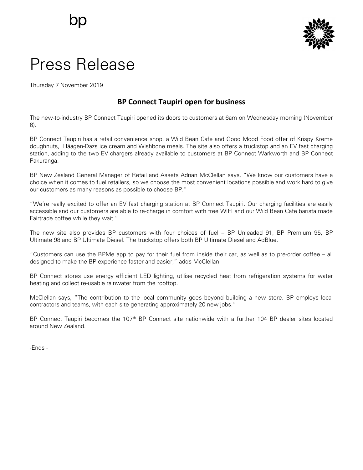

## Press Release

Thursday 7 November 2019

## **BP Connect Taupiri open for business**

The new-to-industry BP Connect Taupiri opened its doors to customers at 6am on Wednesday morning (November 6).

BP Connect Taupiri has a retail convenience shop, a Wild Bean Cafe and Good Mood Food offer of Krispy Kreme doughnuts, Häagen-Dazs ice cream and Wishbone meals. The site also offers a truckstop and an EV fast charging station, adding to the two EV chargers already available to customers at BP Connect Warkworth and BP Connect Pakuranga.

BP New Zealand General Manager of Retail and Assets Adrian McClellan says, "We know our customers have a choice when it comes to fuel retailers, so we choose the most convenient locations possible and work hard to give our customers as many reasons as possible to choose BP."

"We're really excited to offer an EV fast charging station at BP Connect Taupiri. Our charging facilities are easily accessible and our customers are able to re-charge in comfort with free WIFI and our Wild Bean Cafe barista made Fairtrade coffee while they wait."

The new site also provides BP customers with four choices of fuel – BP Unleaded 91, BP Premium 95, BP Ultimate 98 and BP Ultimate Diesel. The truckstop offers both BP Ultimate Diesel and AdBlue.

"Customers can use the BPMe app to pay for their fuel from inside their car, as well as to pre-order coffee – all designed to make the BP experience faster and easier," adds McClellan.

BP Connect stores use energy efficient LED lighting, utilise recycled heat from refrigeration systems for water heating and collect re-usable rainwater from the rooftop.

McClellan says, "The contribution to the local community goes beyond building a new store. BP employs local contractors and teams, with each site generating approximately 20 new jobs."

BP Connect Taupiri becomes the 107<sup>th</sup> BP Connect site nationwide with a further 104 BP dealer sites located around New Zealand.

-Ends -